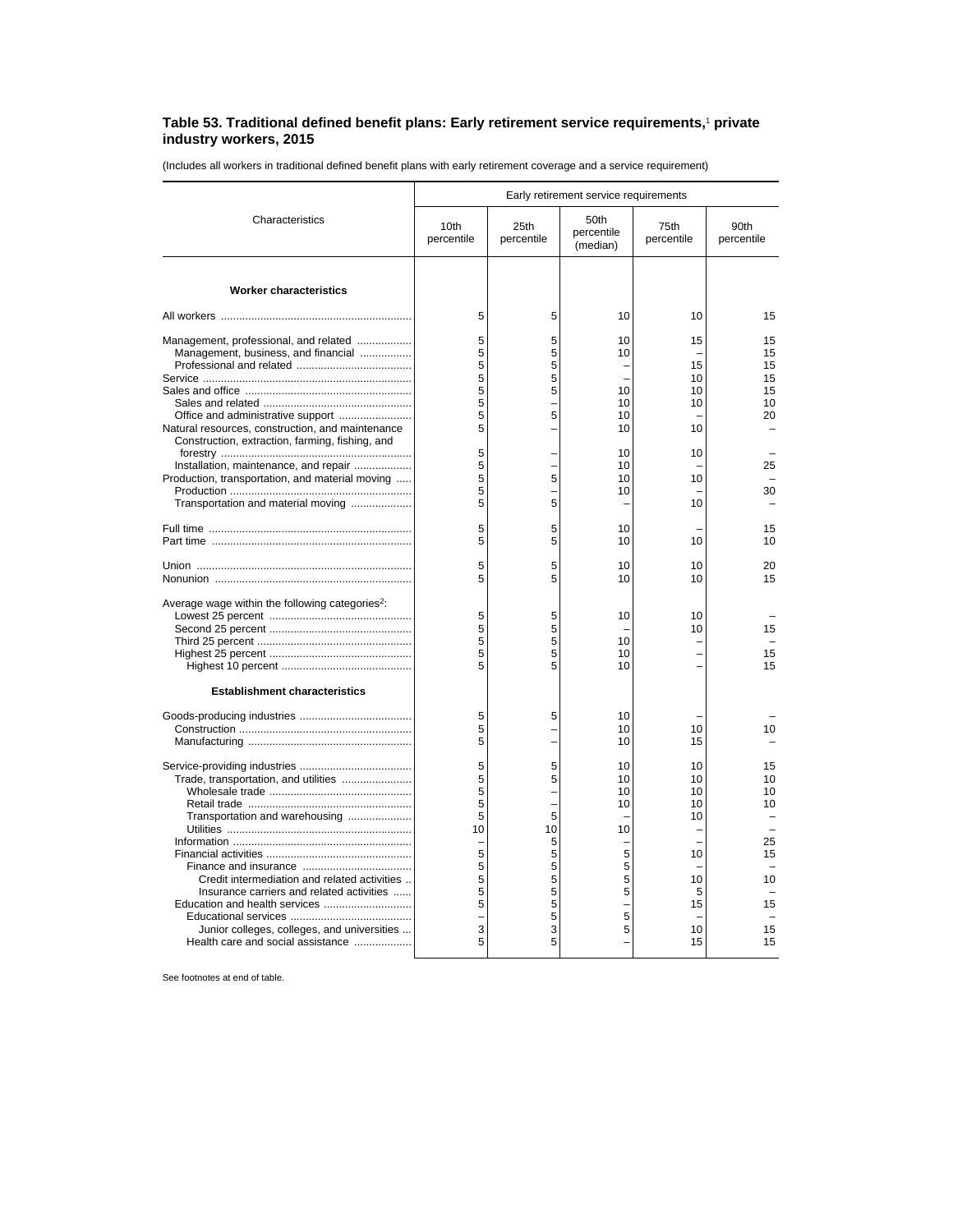## **Table 53. Traditional defined benefit plans: Early retirement service requirements,**<sup>1</sup>  **private industry workers, 2015**

(Includes all workers in traditional defined benefit plans with early retirement coverage and a service requirement)

|                                                                                                                                                                                                                                                         | Early retirement service requirements                          |                                                                     |                                                          |                                                               |                                                          |  |
|---------------------------------------------------------------------------------------------------------------------------------------------------------------------------------------------------------------------------------------------------------|----------------------------------------------------------------|---------------------------------------------------------------------|----------------------------------------------------------|---------------------------------------------------------------|----------------------------------------------------------|--|
| Characteristics                                                                                                                                                                                                                                         | 10th<br>percentile                                             | 25th<br>percentile                                                  | 50th<br>percentile<br>(median)                           | 75th<br>percentile                                            | 90th<br>percentile                                       |  |
| <b>Worker characteristics</b>                                                                                                                                                                                                                           |                                                                |                                                                     |                                                          |                                                               |                                                          |  |
|                                                                                                                                                                                                                                                         | 5                                                              | 5                                                                   | 10                                                       | 10                                                            | 15                                                       |  |
| Management, professional, and related<br>Management, business, and financial<br>Natural resources, construction, and maintenance<br>Construction, extraction, farming, fishing, and                                                                     | 5<br>5<br>5<br>5<br>5<br>5<br>5<br>5                           | 5<br>5<br>5<br>5<br>5<br>5                                          | 10<br>10<br>10<br>10<br>10<br>10                         | 15<br>15<br>10<br>10<br>10<br>10                              | 15<br>15<br>15<br>15<br>15<br>10<br>20                   |  |
| Installation, maintenance, and repair<br>Production, transportation, and material moving<br>Transportation and material moving                                                                                                                          | 5<br>5<br>5<br>5<br>5                                          | 5<br>5                                                              | 10<br>10<br>10<br>10                                     | 10<br>10<br>10                                                | 25<br>30                                                 |  |
|                                                                                                                                                                                                                                                         | 5<br>5                                                         | 5<br>5                                                              | 10<br>10                                                 | 10                                                            | 15<br>10                                                 |  |
|                                                                                                                                                                                                                                                         | 5<br>5                                                         | 5<br>5                                                              | 10<br>10                                                 | 10<br>10                                                      | 20<br>15                                                 |  |
| Average wage within the following categories <sup>2</sup> :<br><b>Establishment characteristics</b>                                                                                                                                                     | 5<br>5<br>5<br>5<br>5                                          | 5<br>5<br>5<br>5<br>5                                               | 10<br>10<br>10<br>10                                     | 10<br>10                                                      | 15<br>15<br>15                                           |  |
|                                                                                                                                                                                                                                                         | 5<br>5<br>5                                                    | 5<br>-                                                              | 10<br>10<br>10                                           | 10<br>15                                                      | 10                                                       |  |
| Trade, transportation, and utilities<br>Transportation and warehousing<br>Credit intermediation and related activities<br>Insurance carriers and related activities<br>Junior colleges, colleges, and universities<br>Health care and social assistance | 5<br>5<br>5<br>5<br>5<br>10<br>5<br>5<br>5<br>5<br>5<br>3<br>5 | 5<br>5<br>÷<br>5<br>10<br>5<br>5<br>5<br>5<br>5<br>5<br>5<br>3<br>5 | 10<br>10<br>10<br>10<br>10<br>5<br>5<br>5<br>5<br>5<br>5 | 10<br>10<br>10<br>10<br>10<br>10<br>10<br>5<br>15<br>10<br>15 | 15<br>10<br>10<br>10<br>25<br>15<br>10<br>15<br>15<br>15 |  |

See footnotes at end of table.